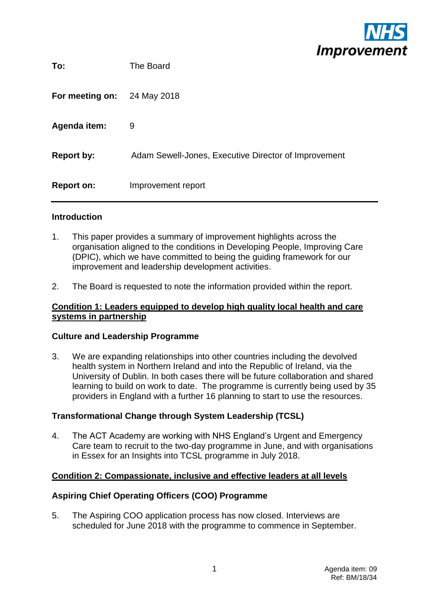

| To:                 | The Board                                            |
|---------------------|------------------------------------------------------|
| For meeting on:     | 24 May 2018                                          |
| <b>Agenda item:</b> | 9                                                    |
| <b>Report by:</b>   | Adam Sewell-Jones, Executive Director of Improvement |
| <b>Report on:</b>   | Improvement report                                   |

#### **Introduction**

- 1. This paper provides a summary of improvement highlights across the organisation aligned to the conditions in Developing People, Improving Care (DPIC), which we have committed to being the guiding framework for our improvement and leadership development activities.
- 2. The Board is requested to note the information provided within the report.

## **Condition 1: Leaders equipped to develop high quality local health and care systems in partnership**

#### **Culture and Leadership Programme**

3. We are expanding relationships into other countries including the devolved health system in Northern Ireland and into the Republic of Ireland, via the University of Dublin. In both cases there will be future collaboration and shared learning to build on work to date. The programme is currently being used by 35 providers in England with a further 16 planning to start to use the resources.

# **Transformational Change through System Leadership (TCSL)**

4. The ACT Academy are working with NHS England's Urgent and Emergency Care team to recruit to the two-day programme in June, and with organisations in Essex for an Insights into TCSL programme in July 2018.

# **Condition 2: Compassionate, inclusive and effective leaders at all levels**

# **Aspiring Chief Operating Officers (COO) Programme**

5. The Aspiring COO application process has now closed. Interviews are scheduled for June 2018 with the programme to commence in September.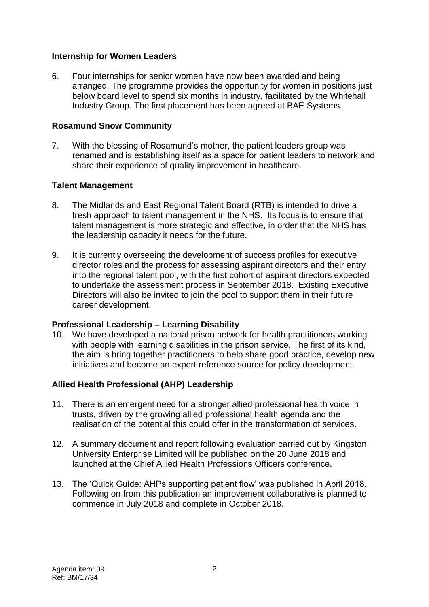## **Internship for Women Leaders**

6. Four internships for senior women have now been awarded and being arranged. The programme provides the opportunity for women in positions just below board level to spend six months in industry, facilitated by the Whitehall Industry Group. The first placement has been agreed at BAE Systems.

## **Rosamund Snow Community**

7. With the blessing of Rosamund's mother, the patient leaders group was renamed and is establishing itself as a space for patient leaders to network and share their experience of quality improvement in healthcare.

## **Talent Management**

- 8. The Midlands and East Regional Talent Board (RTB) is intended to drive a fresh approach to talent management in the NHS. Its focus is to ensure that talent management is more strategic and effective, in order that the NHS has the leadership capacity it needs for the future.
- 9. It is currently overseeing the development of success profiles for executive director roles and the process for assessing aspirant directors and their entry into the regional talent pool, with the first cohort of aspirant directors expected to undertake the assessment process in September 2018. Existing Executive Directors will also be invited to join the pool to support them in their future career development.

#### **Professional Leadership – Learning Disability**

10. We have developed a national prison network for health practitioners working with people with learning disabilities in the prison service. The first of its kind, the aim is bring together practitioners to help share good practice, develop new initiatives and become an expert reference source for policy development.

# **Allied Health Professional (AHP) Leadership**

- 11. There is an emergent need for a stronger allied professional health voice in trusts, driven by the growing allied professional health agenda and the realisation of the potential this could offer in the transformation of services.
- 12. A summary document and report following evaluation carried out by Kingston University Enterprise Limited will be published on the 20 June 2018 and launched at the Chief Allied Health Professions Officers conference.
- 13. The 'Quick Guide: AHPs supporting patient flow' was published in April 2018. Following on from this publication an improvement collaborative is planned to commence in July 2018 and complete in October 2018.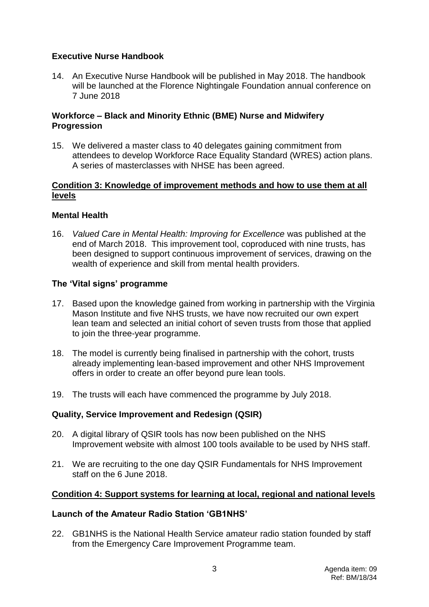# **Executive Nurse Handbook**

14. An Executive Nurse Handbook will be published in May 2018. The handbook will be launched at the Florence Nightingale Foundation annual conference on 7 June 2018

## **Workforce – Black and Minority Ethnic (BME) Nurse and Midwifery Progression**

15. We delivered a master class to 40 delegates gaining commitment from attendees to develop Workforce Race Equality Standard (WRES) action plans. A series of masterclasses with NHSE has been agreed.

#### **Condition 3: Knowledge of improvement methods and how to use them at all levels**

## **Mental Health**

16. *Valued Care in Mental Health: Improving for Excellence* was published at the end of March 2018. This improvement tool, coproduced with nine trusts, has been designed to support continuous improvement of services, drawing on the wealth of experience and skill from mental health providers.

## **The 'Vital signs' programme**

- 17. Based upon the knowledge gained from working in partnership with the Virginia Mason Institute and five NHS trusts, we have now recruited our own expert lean team and selected an initial cohort of seven trusts from those that applied to join the three-year programme.
- 18. The model is currently being finalised in partnership with the cohort, trusts already implementing lean-based improvement and other NHS Improvement offers in order to create an offer beyond pure lean tools.
- 19. The trusts will each have commenced the programme by July 2018.

# **Quality, Service Improvement and Redesign (QSIR)**

- 20. A digital library of QSIR tools has now been published on the NHS Improvement website with almost 100 tools available to be used by NHS staff.
- 21. We are recruiting to the one day QSIR Fundamentals for NHS Improvement staff on the 6 June 2018.

# **Condition 4: Support systems for learning at local, regional and national levels**

#### **Launch of the Amateur Radio Station 'GB1NHS'**

22. GB1NHS is the National Health Service amateur radio station founded by staff from the Emergency Care Improvement Programme team.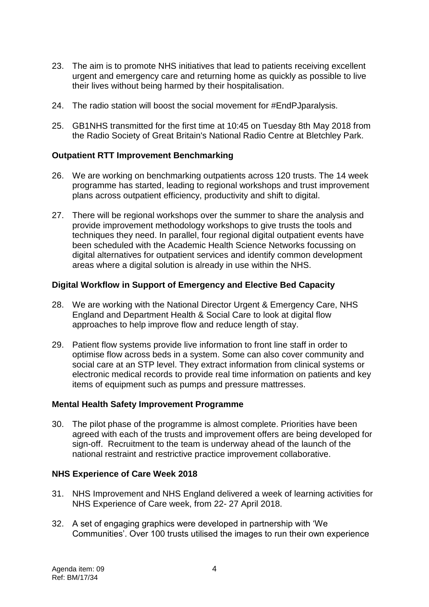- 23. The aim is to promote NHS initiatives that lead to patients receiving excellent urgent and emergency care and returning home as quickly as possible to live their lives without being harmed by their hospitalisation.
- 24. The radio station will boost the social movement for #EndPJparalysis.
- 25. GB1NHS transmitted for the first time at 10:45 on Tuesday 8th May 2018 from the Radio Society of Great Britain's National Radio Centre at Bletchley Park.

## **Outpatient RTT Improvement Benchmarking**

- 26. We are working on benchmarking outpatients across 120 trusts. The 14 week programme has started, leading to regional workshops and trust improvement plans across outpatient efficiency, productivity and shift to digital.
- 27. There will be regional workshops over the summer to share the analysis and provide improvement methodology workshops to give trusts the tools and techniques they need. In parallel, four regional digital outpatient events have been scheduled with the Academic Health Science Networks focussing on digital alternatives for outpatient services and identify common development areas where a digital solution is already in use within the NHS.

## **Digital Workflow in Support of Emergency and Elective Bed Capacity**

- 28. We are working with the National Director Urgent & Emergency Care, NHS England and Department Health & Social Care to look at digital flow approaches to help improve flow and reduce length of stay.
- 29. Patient flow systems provide live information to front line staff in order to optimise flow across beds in a system. Some can also cover community and social care at an STP level. They extract information from clinical systems or electronic medical records to provide real time information on patients and key items of equipment such as pumps and pressure mattresses.

#### **Mental Health Safety Improvement Programme**

30. The pilot phase of the programme is almost complete. Priorities have been agreed with each of the trusts and improvement offers are being developed for sign-off. Recruitment to the team is underway ahead of the launch of the national restraint and restrictive practice improvement collaborative.

#### **NHS Experience of Care Week 2018**

- 31. NHS Improvement and NHS England delivered a week of learning activities for NHS Experience of Care week, from 22- 27 April 2018.
- 32. A set of engaging graphics were developed in partnership with 'We Communities'. Over 100 trusts utilised the images to run their own experience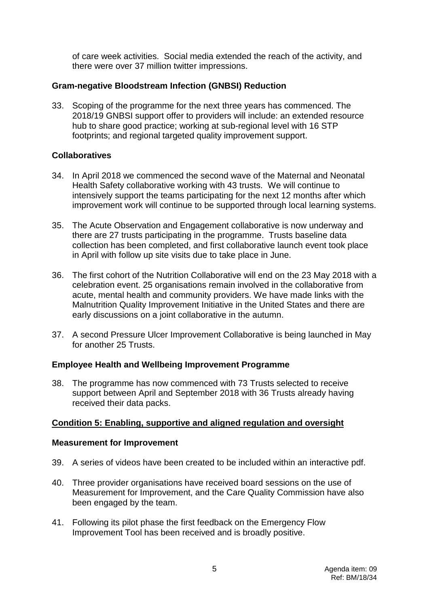of care week activities. Social media extended the reach of the activity, and there were over 37 million twitter impressions.

# **Gram-negative Bloodstream Infection (GNBSI) Reduction**

33. Scoping of the programme for the next three years has commenced. The 2018/19 GNBSI support offer to providers will include: an extended resource hub to share good practice; working at sub-regional level with 16 STP footprints; and regional targeted quality improvement support.

# **Collaboratives**

- 34. In April 2018 we commenced the second wave of the Maternal and Neonatal Health Safety collaborative working with 43 trusts. We will continue to intensively support the teams participating for the next 12 months after which improvement work will continue to be supported through local learning systems.
- 35. The Acute Observation and Engagement collaborative is now underway and there are 27 trusts participating in the programme. Trusts baseline data collection has been completed, and first collaborative launch event took place in April with follow up site visits due to take place in June.
- 36. The first cohort of the Nutrition Collaborative will end on the 23 May 2018 with a celebration event. 25 organisations remain involved in the collaborative from acute, mental health and community providers. We have made links with the Malnutrition Quality Improvement Initiative in the United States and there are early discussions on a joint collaborative in the autumn.
- 37. A second Pressure Ulcer Improvement Collaborative is being launched in May for another 25 Trusts.

# **Employee Health and Wellbeing Improvement Programme**

38. The programme has now commenced with 73 Trusts selected to receive support between April and September 2018 with 36 Trusts already having received their data packs.

# **Condition 5: Enabling, supportive and aligned regulation and oversight**

#### **Measurement for Improvement**

- 39. A series of videos have been created to be included within an interactive pdf.
- 40. Three provider organisations have received board sessions on the use of Measurement for Improvement, and the Care Quality Commission have also been engaged by the team.
- 41. Following its pilot phase the first feedback on the Emergency Flow Improvement Tool has been received and is broadly positive.